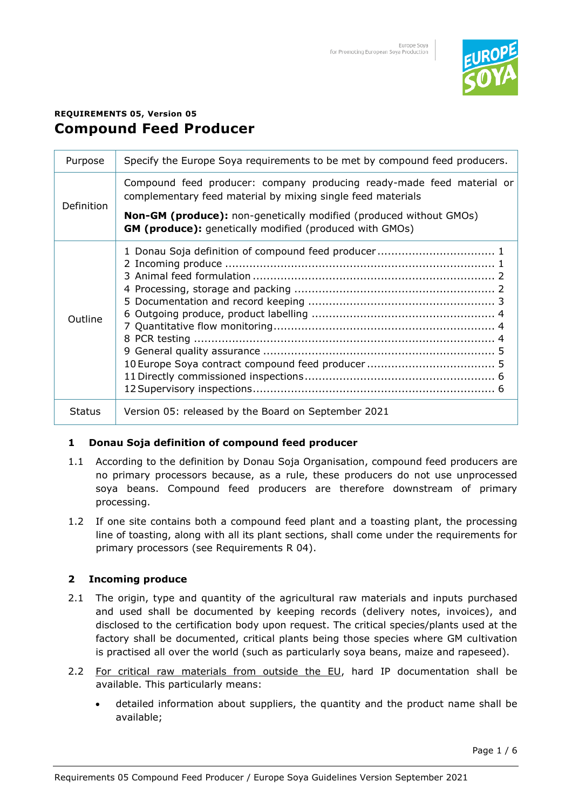

# **REQUIREMENTS 05, Version 05 Compound Feed Producer**

| Purpose       | Specify the Europe Soya requirements to be met by compound feed producers.                                                                  |
|---------------|---------------------------------------------------------------------------------------------------------------------------------------------|
| Definition    | Compound feed producer: company producing ready-made feed material or<br>complementary feed material by mixing single feed materials        |
|               | <b>Non-GM (produce):</b> non-genetically modified (produced without GMOs)<br><b>GM (produce):</b> genetically modified (produced with GMOs) |
| Outline       |                                                                                                                                             |
| <b>Status</b> | Version 05: released by the Board on September 2021                                                                                         |

# <span id="page-0-0"></span>**1 Donau Soja definition of compound feed producer**

- 1.1 According to the definition by Donau Soja Organisation, compound feed producers are no primary processors because, as a rule, these producers do not use unprocessed soya beans. Compound feed producers are therefore downstream of primary processing.
- 1.2 If one site contains both a compound feed plant and a toasting plant, the processing line of toasting, along with all its plant sections, shall come under the requirements for primary processors (see Requirements R 04).

# <span id="page-0-1"></span>**2 Incoming produce**

- 2.1 The origin, type and quantity of the agricultural raw materials and inputs purchased and used shall be documented by keeping records (delivery notes, invoices), and disclosed to the certification body upon request. The critical species/plants used at the factory shall be documented, critical plants being those species where GM cultivation is practised all over the world (such as particularly soya beans, maize and rapeseed).
- 2.2 For critical raw materials from outside the EU, hard IP documentation shall be available. This particularly means:
	- detailed information about suppliers, the quantity and the product name shall be available;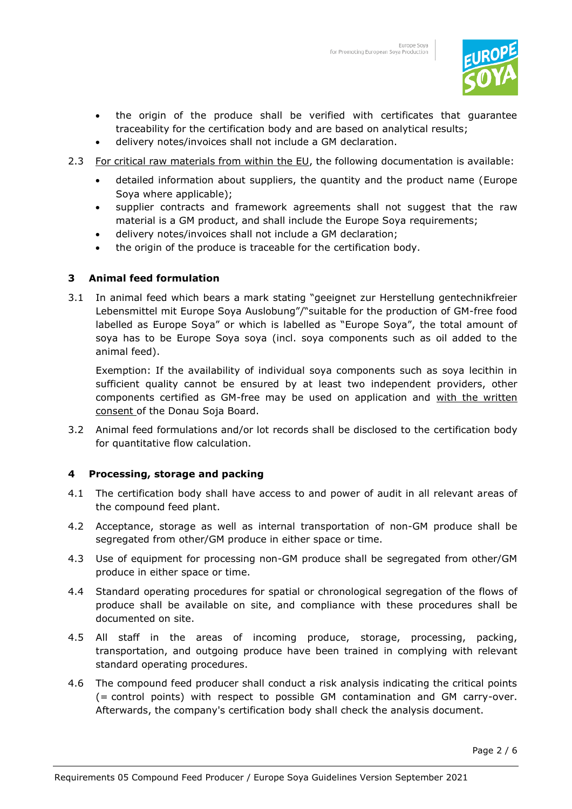

- the origin of the produce shall be verified with certificates that guarantee traceability for the certification body and are based on analytical results;
- delivery notes/invoices shall not include a GM declaration.
- 2.3 For critical raw materials from within the EU, the following documentation is available:
	- detailed information about suppliers, the quantity and the product name (Europe Soya where applicable);
	- supplier contracts and framework agreements shall not suggest that the raw material is a GM product, and shall include the Europe Soya requirements;
	- delivery notes/invoices shall not include a GM declaration;
	- the origin of the produce is traceable for the certification body.

### <span id="page-1-0"></span>**3 Animal feed formulation**

3.1 In animal feed which bears a mark stating "geeignet zur Herstellung gentechnikfreier Lebensmittel mit Europe Soya Auslobung"/"suitable for the production of GM-free food labelled as Europe Soya" or which is labelled as "Europe Soya", the total amount of soya has to be Europe Soya soya (incl. soya components such as oil added to the animal feed).

Exemption: If the availability of individual soya components such as soya lecithin in sufficient quality cannot be ensured by at least two independent providers, other components certified as GM-free may be used on application and with the written consent of the Donau Soja Board.

3.2 Animal feed formulations and/or lot records shall be disclosed to the certification body for quantitative flow calculation.

# <span id="page-1-1"></span>**4 Processing, storage and packing**

- 4.1 The certification body shall have access to and power of audit in all relevant areas of the compound feed plant.
- 4.2 Acceptance, storage as well as internal transportation of non-GM produce shall be segregated from other/GM produce in either space or time.
- 4.3 Use of equipment for processing non-GM produce shall be segregated from other/GM produce in either space or time.
- 4.4 Standard operating procedures for spatial or chronological segregation of the flows of produce shall be available on site, and compliance with these procedures shall be documented on site.
- 4.5 All staff in the areas of incoming produce, storage, processing, packing, transportation, and outgoing produce have been trained in complying with relevant standard operating procedures.
- 4.6 The compound feed producer shall conduct a risk analysis indicating the critical points (= control points) with respect to possible GM contamination and GM carry-over. Afterwards, the company's certification body shall check the analysis document.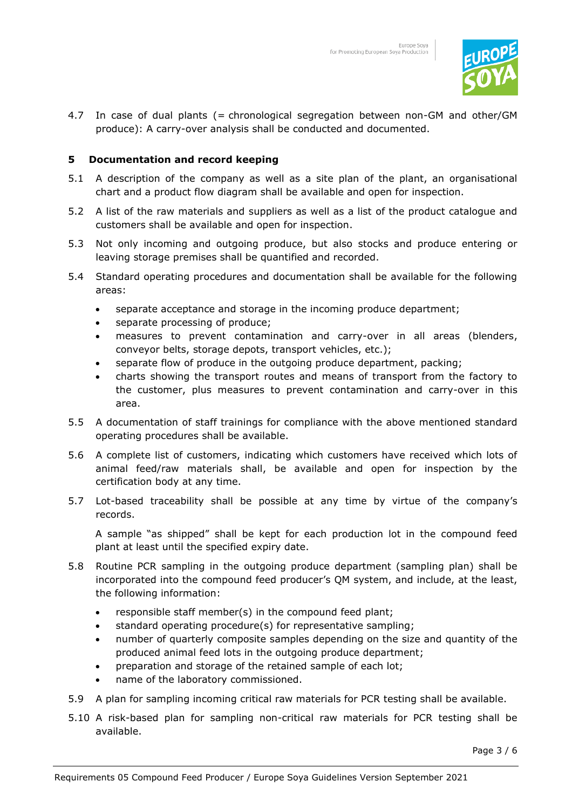

4.7 In case of dual plants (= chronological segregation between non-GM and other/GM produce): A carry-over analysis shall be conducted and documented.

## <span id="page-2-0"></span>**5 Documentation and record keeping**

- 5.1 A description of the company as well as a site plan of the plant, an organisational chart and a product flow diagram shall be available and open for inspection.
- 5.2 A list of the raw materials and suppliers as well as a list of the product catalogue and customers shall be available and open for inspection.
- 5.3 Not only incoming and outgoing produce, but also stocks and produce entering or leaving storage premises shall be quantified and recorded.
- 5.4 Standard operating procedures and documentation shall be available for the following areas:
	- separate acceptance and storage in the incoming produce department;
	- separate processing of produce;
	- measures to prevent contamination and carry-over in all areas (blenders, conveyor belts, storage depots, transport vehicles, etc.);
	- separate flow of produce in the outgoing produce department, packing;
	- charts showing the transport routes and means of transport from the factory to the customer, plus measures to prevent contamination and carry-over in this area.
- 5.5 A documentation of staff trainings for compliance with the above mentioned standard operating procedures shall be available.
- 5.6 A complete list of customers, indicating which customers have received which lots of animal feed/raw materials shall, be available and open for inspection by the certification body at any time.
- 5.7 Lot-based traceability shall be possible at any time by virtue of the company's records.

A sample "as shipped" shall be kept for each production lot in the compound feed plant at least until the specified expiry date.

- 5.8 Routine PCR sampling in the outgoing produce department (sampling plan) shall be incorporated into the compound feed producer's QM system, and include, at the least, the following information:
	- responsible staff member(s) in the compound feed plant;
	- standard operating procedure(s) for representative sampling;
	- number of quarterly composite samples depending on the size and quantity of the produced animal feed lots in the outgoing produce department;
	- preparation and storage of the retained sample of each lot;
	- name of the laboratory commissioned.
- 5.9 A plan for sampling incoming critical raw materials for PCR testing shall be available.
- 5.10 A risk-based plan for sampling non-critical raw materials for PCR testing shall be available.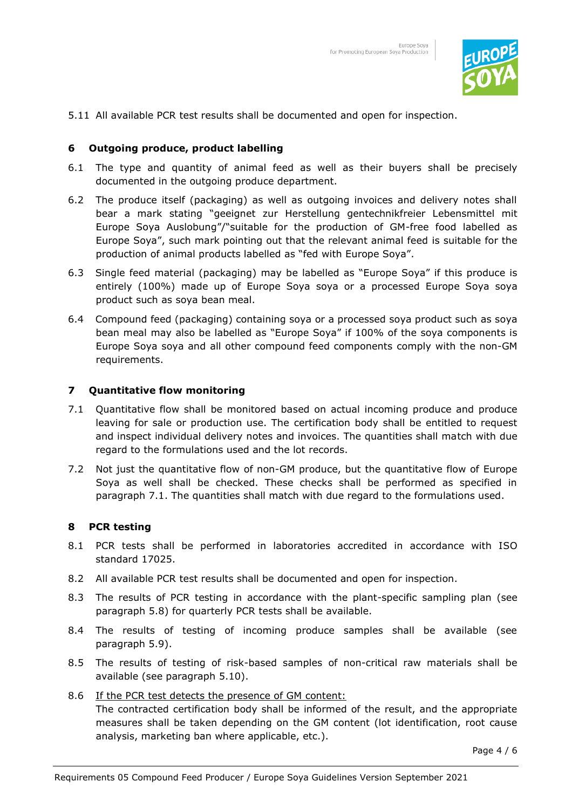

5.11 All available PCR test results shall be documented and open for inspection.

#### <span id="page-3-0"></span>**6 Outgoing produce, product labelling**

- 6.1 The type and quantity of animal feed as well as their buyers shall be precisely documented in the outgoing produce department.
- 6.2 The produce itself (packaging) as well as outgoing invoices and delivery notes shall bear a mark stating "geeignet zur Herstellung gentechnikfreier Lebensmittel mit Europe Soya Auslobung"/"suitable for the production of GM-free food labelled as Europe Soya", such mark pointing out that the relevant animal feed is suitable for the production of animal products labelled as "fed with Europe Soya".
- 6.3 Single feed material (packaging) may be labelled as "Europe Soya" if this produce is entirely (100%) made up of Europe Soya soya or a processed Europe Soya soya product such as soya bean meal.
- 6.4 Compound feed (packaging) containing soya or a processed soya product such as soya bean meal may also be labelled as "Europe Soya" if 100% of the soya components is Europe Soya soya and all other compound feed components comply with the non-GM requirements.

#### <span id="page-3-1"></span>**7 Quantitative flow monitoring**

- 7.1 Quantitative flow shall be monitored based on actual incoming produce and produce leaving for sale or production use. The certification body shall be entitled to request and inspect individual delivery notes and invoices. The quantities shall match with due regard to the formulations used and the lot records.
- 7.2 Not just the quantitative flow of non-GM produce, but the quantitative flow of Europe Soya as well shall be checked. These checks shall be performed as specified in paragraph 7.1. The quantities shall match with due regard to the formulations used.

#### <span id="page-3-2"></span>**8 PCR testing**

- 8.1 PCR tests shall be performed in laboratories accredited in accordance with ISO standard 17025.
- 8.2 All available PCR test results shall be documented and open for inspection.
- 8.3 The results of PCR testing in accordance with the plant-specific sampling plan (see paragraph 5.8) for quarterly PCR tests shall be available.
- 8.4 The results of testing of incoming produce samples shall be available (see paragraph 5.9).
- 8.5 The results of testing of risk-based samples of non-critical raw materials shall be available (see paragraph 5.10).
- 8.6 If the PCR test detects the presence of GM content:

The contracted certification body shall be informed of the result, and the appropriate measures shall be taken depending on the GM content (lot identification, root cause analysis, marketing ban where applicable, etc.).

Page 4 / 6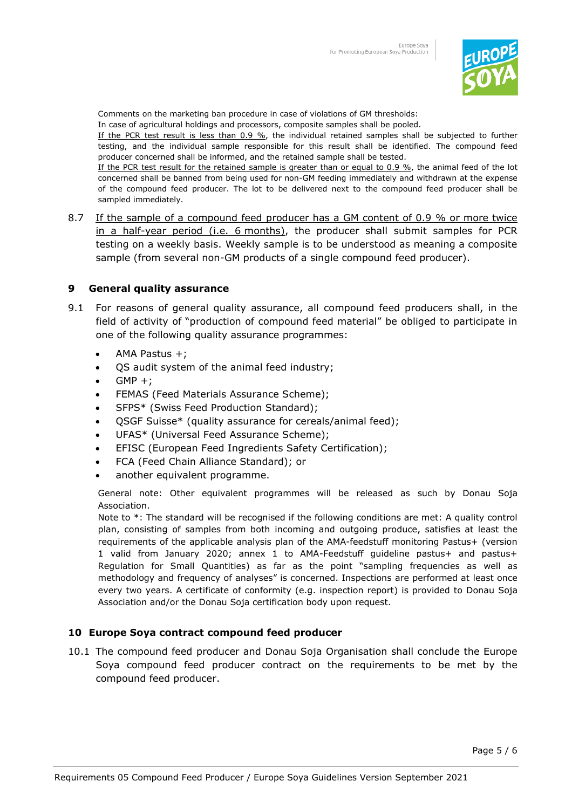

Comments on the marketing ban procedure in case of violations of GM thresholds:

In case of agricultural holdings and processors, composite samples shall be pooled.

If the PCR test result is less than 0.9 %, the individual retained samples shall be subjected to further testing, and the individual sample responsible for this result shall be identified. The compound feed producer concerned shall be informed, and the retained sample shall be tested.

If the PCR test result for the retained sample is greater than or equal to 0.9 %, the animal feed of the lot concerned shall be banned from being used for non-GM feeding immediately and withdrawn at the expense of the compound feed producer. The lot to be delivered next to the compound feed producer shall be sampled immediately.

8.7 If the sample of a compound feed producer has a GM content of 0.9 % or more twice in a half-year period (i.e. 6 months), the producer shall submit samples for PCR testing on a weekly basis. Weekly sample is to be understood as meaning a composite sample (from several non-GM products of a single compound feed producer).

# <span id="page-4-0"></span>**9 General quality assurance**

- 9.1 For reasons of general quality assurance, all compound feed producers shall, in the field of activity of "production of compound feed material" be obliged to participate in one of the following quality assurance programmes:
	- AMA Pastus +;
	- QS audit system of the animal feed industry;
	- $GMP +;$
	- FEMAS (Feed Materials Assurance Scheme);
	- SFPS\* (Swiss Feed Production Standard);
	- QSGF Suisse\* (quality assurance for cereals/animal feed);
	- UFAS\* (Universal Feed Assurance Scheme);
	- EFISC (European Feed Ingredients Safety Certification);
	- FCA (Feed Chain Alliance Standard); or
	- another equivalent programme.

General note: Other equivalent programmes will be released as such by Donau Soja Association.

Note to \*: The standard will be recognised if the following conditions are met: A quality control plan, consisting of samples from both incoming and outgoing produce, satisfies at least the requirements of the applicable analysis plan of the AMA-feedstuff monitoring Pastus+ (version 1 valid from January 2020; annex 1 to AMA-Feedstuff guideline pastus+ and pastus+ Regulation for Small Quantities) as far as the point "sampling frequencies as well as methodology and frequency of analyses" is concerned. Inspections are performed at least once every two years. A certificate of conformity (e.g. inspection report) is provided to Donau Soja Association and/or the Donau Soja certification body upon request.

### <span id="page-4-1"></span>**10 Europe Soya contract compound feed producer**

<span id="page-4-2"></span>10.1 The compound feed producer and Donau Soja Organisation shall conclude the Europe Soya compound feed producer contract on the requirements to be met by the compound feed producer.